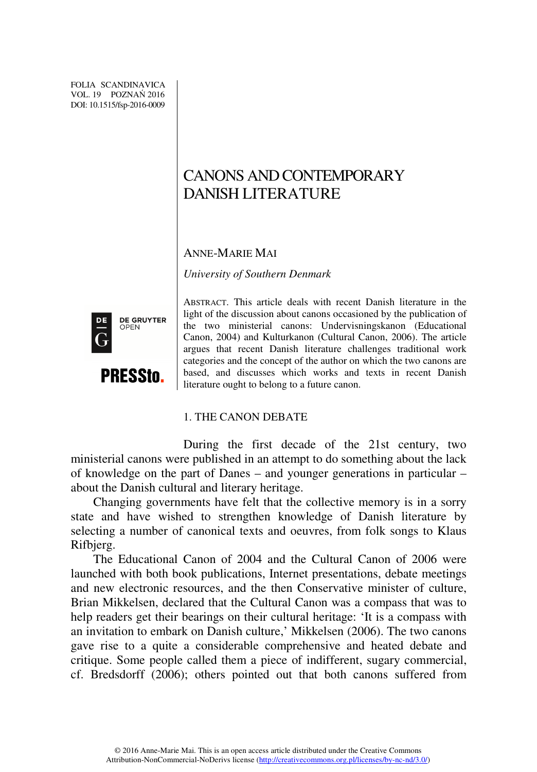FOLIA SCANDINAVICA VOL. 19 POZNAŃ 2016 DOI: 10.1515/fsp-2016-0009

# CANONS AND CONTEMPORARY DANISH LITERATURE

ANNE-MARIE MAI

*University of Southern Denmark* 



ABSTRACT. This article deals with recent Danish literature in the light of the discussion about canons occasioned by the publication of the two ministerial canons: Undervisningskanon (Educational Canon, 2004) and Kulturkanon (Cultural Canon, 2006). The article argues that recent Danish literature challenges traditional work categories and the concept of the author on which the two canons are based, and discusses which works and texts in recent Danish literature ought to belong to a future canon.

# 1. THE CANON DEBATE

During the first decade of the 21st century, two ministerial canons were published in an attempt to do something about the lack of knowledge on the part of Danes – and younger generations in particular – about the Danish cultural and literary heritage.

Changing governments have felt that the collective memory is in a sorry state and have wished to strengthen knowledge of Danish literature by selecting a number of canonical texts and oeuvres, from folk songs to Klaus Rifbjerg.

The Educational Canon of 2004 and the Cultural Canon of 2006 were launched with both book publications, Internet presentations, debate meetings and new electronic resources, and the then Conservative minister of culture, Brian Mikkelsen, declared that the Cultural Canon was a compass that was to help readers get their bearings on their cultural heritage: 'It is a compass with an invitation to embark on Danish culture,' Mikkelsen (2006). The two canons gave rise to a quite a considerable comprehensive and heated debate and critique. Some people called them a piece of indifferent, sugary commercial, cf. Bredsdorff (2006); others pointed out that both canons suffered from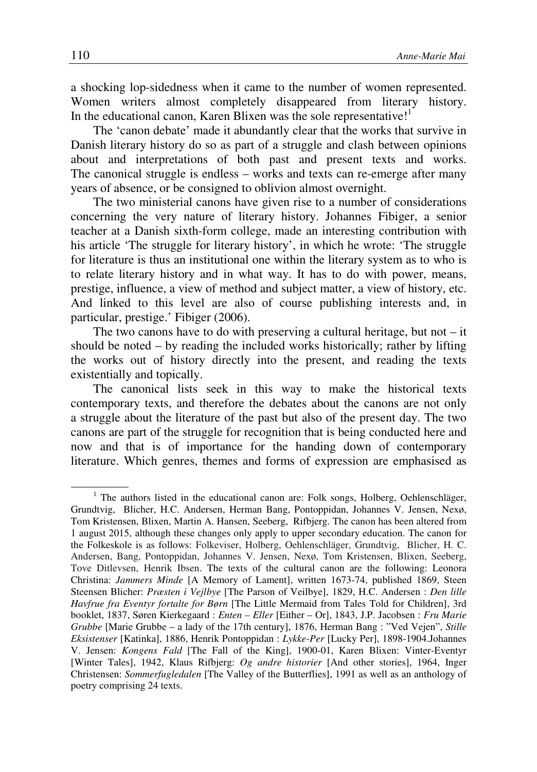a shocking lop-sidedness when it came to the number of women represented. Women writers almost completely disappeared from literary history. In the educational canon, Karen Blixen was the sole representative!<sup>1</sup>

The 'canon debate' made it abundantly clear that the works that survive in Danish literary history do so as part of a struggle and clash between opinions about and interpretations of both past and present texts and works. The canonical struggle is endless – works and texts can re-emerge after many years of absence, or be consigned to oblivion almost overnight.

The two ministerial canons have given rise to a number of considerations concerning the very nature of literary history. Johannes Fibiger, a senior teacher at a Danish sixth-form college, made an interesting contribution with his article 'The struggle for literary history', in which he wrote: 'The struggle for literature is thus an institutional one within the literary system as to who is to relate literary history and in what way. It has to do with power, means, prestige, influence, a view of method and subject matter, a view of history, etc. And linked to this level are also of course publishing interests and, in particular, prestige.' Fibiger (2006).

The two canons have to do with preserving a cultural heritage, but not  $-$  it should be noted – by reading the included works historically; rather by lifting the works out of history directly into the present, and reading the texts existentially and topically.

The canonical lists seek in this way to make the historical texts contemporary texts, and therefore the debates about the canons are not only a struggle about the literature of the past but also of the present day. The two canons are part of the struggle for recognition that is being conducted here and now and that is of importance for the handing down of contemporary literature. Which genres, themes and forms of expression are emphasised as

<sup>&</sup>lt;sup>1</sup> The authors listed in the educational canon are: Folk songs, Holberg, Oehlenschläger, Grundtvig, Blicher, H.C. Andersen, Herman Bang, Pontoppidan, Johannes V. Jensen, Nexø, Tom Kristensen, Blixen, Martin A. Hansen, Seeberg, Rifbjerg. The canon has been altered from 1 august 2015, although these changes only apply to upper secondary education. The canon for the Folkeskole is as follows: Folkeviser, Holberg, Oehlenschläger, Grundtvig, Blicher, H. C. Andersen, Bang, Pontoppidan, Johannes V. Jensen, Nexø, Tom Kristensen, Blixen, Seeberg, Tove Ditlevsen, Henrik Ibsen. The texts of the cultural canon are the following: Leonora Christina: *Jammers Minde* [A Memory of Lament], written 1673-74, published 1869, Steen Steensen Blicher: *Præsten i Vejlbye* [The Parson of Veilbye], 1829, H.C. Andersen : *Den lille Havfrue fra Eventyr fortalte for Børn* [The Little Mermaid from Tales Told for Children], 3rd booklet, 1837, Søren Kierkegaard : *Enten – Eller* [Either – Or], 1843, J.P. Jacobsen : *Fru Marie Grubbe* [Marie Grubbe – a lady of the 17th century], 1876, Herman Bang : "Ved Vejen", *Stille Eksistenser* [Katinka], 1886, Henrik Pontoppidan : *Lykke-Per* [Lucky Per], 1898-1904.Johannes V. Jensen: *Kongens Fald* [The Fall of the King], 1900-01, Karen Blixen: Vinter-Eventyr [Winter Tales], 1942, Klaus Rifbjerg: *Og andre historier* [And other stories], 1964, Inger Christensen: *Sommerfugledalen* [The Valley of the Butterflies], 1991 as well as an anthology of poetry comprising 24 texts.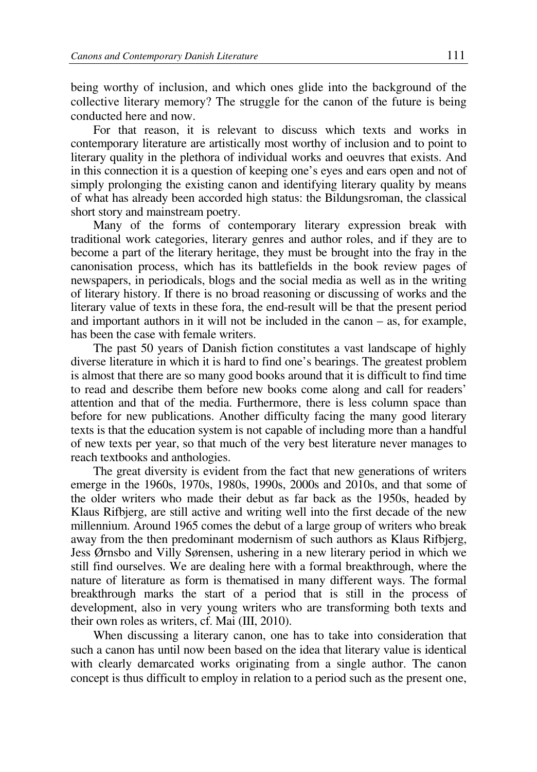being worthy of inclusion, and which ones glide into the background of the collective literary memory? The struggle for the canon of the future is being conducted here and now.

For that reason, it is relevant to discuss which texts and works in contemporary literature are artistically most worthy of inclusion and to point to literary quality in the plethora of individual works and oeuvres that exists. And in this connection it is a question of keeping one's eyes and ears open and not of simply prolonging the existing canon and identifying literary quality by means of what has already been accorded high status: the Bildungsroman, the classical short story and mainstream poetry.

Many of the forms of contemporary literary expression break with traditional work categories, literary genres and author roles, and if they are to become a part of the literary heritage, they must be brought into the fray in the canonisation process, which has its battlefields in the book review pages of newspapers, in periodicals, blogs and the social media as well as in the writing of literary history. If there is no broad reasoning or discussing of works and the literary value of texts in these fora, the end-result will be that the present period and important authors in it will not be included in the canon – as, for example, has been the case with female writers.

The past 50 years of Danish fiction constitutes a vast landscape of highly diverse literature in which it is hard to find one's bearings. The greatest problem is almost that there are so many good books around that it is difficult to find time to read and describe them before new books come along and call for readers' attention and that of the media. Furthermore, there is less column space than before for new publications. Another difficulty facing the many good literary texts is that the education system is not capable of including more than a handful of new texts per year, so that much of the very best literature never manages to reach textbooks and anthologies.

The great diversity is evident from the fact that new generations of writers emerge in the 1960s, 1970s, 1980s, 1990s, 2000s and 2010s, and that some of the older writers who made their debut as far back as the 1950s, headed by Klaus Rifbjerg, are still active and writing well into the first decade of the new millennium. Around 1965 comes the debut of a large group of writers who break away from the then predominant modernism of such authors as Klaus Rifbjerg, Jess Ørnsbo and Villy Sørensen, ushering in a new literary period in which we still find ourselves. We are dealing here with a formal breakthrough, where the nature of literature as form is thematised in many different ways. The formal breakthrough marks the start of a period that is still in the process of development, also in very young writers who are transforming both texts and their own roles as writers, cf. Mai (III, 2010).

When discussing a literary canon, one has to take into consideration that such a canon has until now been based on the idea that literary value is identical with clearly demarcated works originating from a single author. The canon concept is thus difficult to employ in relation to a period such as the present one,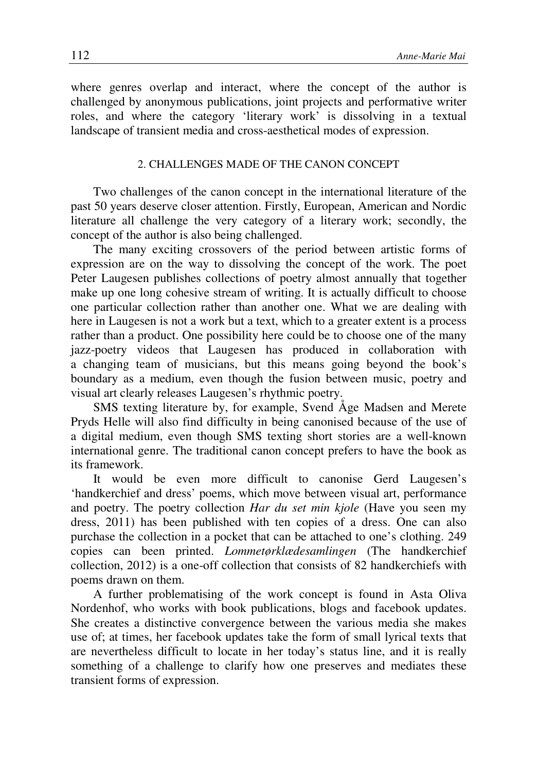where genres overlap and interact, where the concept of the author is challenged by anonymous publications, joint projects and performative writer roles, and where the category 'literary work' is dissolving in a textual landscape of transient media and cross-aesthetical modes of expression.

# 2. CHALLENGES MADE OF THE CANON CONCEPT

Two challenges of the canon concept in the international literature of the past 50 years deserve closer attention. Firstly, European, American and Nordic literature all challenge the very category of a literary work; secondly, the concept of the author is also being challenged.

The many exciting crossovers of the period between artistic forms of expression are on the way to dissolving the concept of the work. The poet Peter Laugesen publishes collections of poetry almost annually that together make up one long cohesive stream of writing. It is actually difficult to choose one particular collection rather than another one. What we are dealing with here in Laugesen is not a work but a text, which to a greater extent is a process rather than a product. One possibility here could be to choose one of the many jazz-poetry videos that Laugesen has produced in collaboration with a changing team of musicians, but this means going beyond the book's boundary as a medium, even though the fusion between music, poetry and visual art clearly releases Laugesen's rhythmic poetry.

SMS texting literature by, for example, Svend Åge Madsen and Merete Pryds Helle will also find difficulty in being canonised because of the use of a digital medium, even though SMS texting short stories are a well-known international genre. The traditional canon concept prefers to have the book as its framework.

It would be even more difficult to canonise Gerd Laugesen's 'handkerchief and dress' poems, which move between visual art, performance and poetry. The poetry collection *Har du set min kjole* (Have you seen my dress, 2011) has been published with ten copies of a dress. One can also purchase the collection in a pocket that can be attached to one's clothing. 249 copies can been printed. *Lommetørklædesamlingen* (The handkerchief collection, 2012) is a one-off collection that consists of 82 handkerchiefs with poems drawn on them.

A further problematising of the work concept is found in Asta Oliva Nordenhof, who works with book publications, blogs and facebook updates. She creates a distinctive convergence between the various media she makes use of; at times, her facebook updates take the form of small lyrical texts that are nevertheless difficult to locate in her today's status line, and it is really something of a challenge to clarify how one preserves and mediates these transient forms of expression.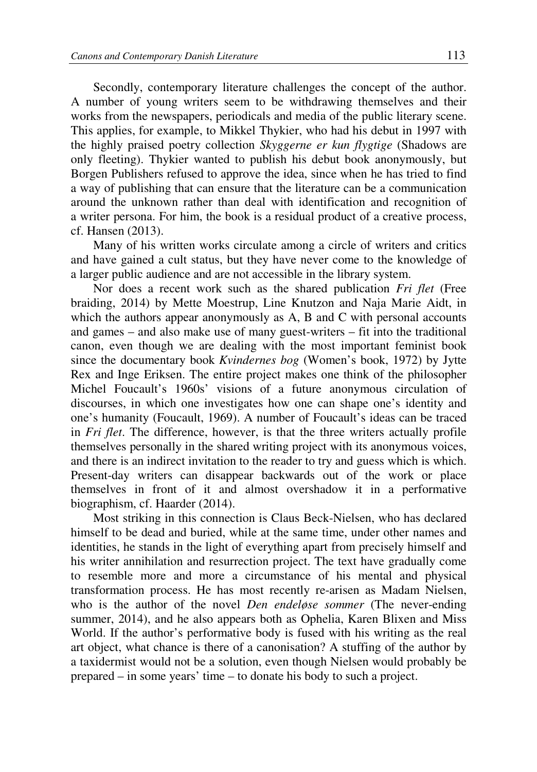Secondly, contemporary literature challenges the concept of the author. A number of young writers seem to be withdrawing themselves and their works from the newspapers, periodicals and media of the public literary scene. This applies, for example, to Mikkel Thykier, who had his debut in 1997 with the highly praised poetry collection *Skyggerne er kun flygtige* (Shadows are only fleeting). Thykier wanted to publish his debut book anonymously, but Borgen Publishers refused to approve the idea, since when he has tried to find a way of publishing that can ensure that the literature can be a communication around the unknown rather than deal with identification and recognition of a writer persona. For him, the book is a residual product of a creative process, cf. Hansen (2013).

Many of his written works circulate among a circle of writers and critics and have gained a cult status, but they have never come to the knowledge of a larger public audience and are not accessible in the library system.

Nor does a recent work such as the shared publication *Fri flet* (Free braiding, 2014) by Mette Moestrup, Line Knutzon and Naja Marie Aidt, in which the authors appear anonymously as A, B and C with personal accounts and games – and also make use of many guest-writers – fit into the traditional canon, even though we are dealing with the most important feminist book since the documentary book *Kvindernes bog* (Women's book, 1972) by Jytte Rex and Inge Eriksen. The entire project makes one think of the philosopher Michel Foucault's 1960s' visions of a future anonymous circulation of discourses, in which one investigates how one can shape one's identity and one's humanity (Foucault, 1969). A number of Foucault's ideas can be traced in *Fri flet*. The difference, however, is that the three writers actually profile themselves personally in the shared writing project with its anonymous voices, and there is an indirect invitation to the reader to try and guess which is which. Present-day writers can disappear backwards out of the work or place themselves in front of it and almost overshadow it in a performative biographism, cf. Haarder (2014).

Most striking in this connection is Claus Beck-Nielsen, who has declared himself to be dead and buried, while at the same time, under other names and identities, he stands in the light of everything apart from precisely himself and his writer annihilation and resurrection project. The text have gradually come to resemble more and more a circumstance of his mental and physical transformation process. He has most recently re-arisen as Madam Nielsen, who is the author of the novel *Den endeløse sommer* (The never-ending summer, 2014), and he also appears both as Ophelia, Karen Blixen and Miss World. If the author's performative body is fused with his writing as the real art object, what chance is there of a canonisation? A stuffing of the author by a taxidermist would not be a solution, even though Nielsen would probably be prepared – in some years' time – to donate his body to such a project.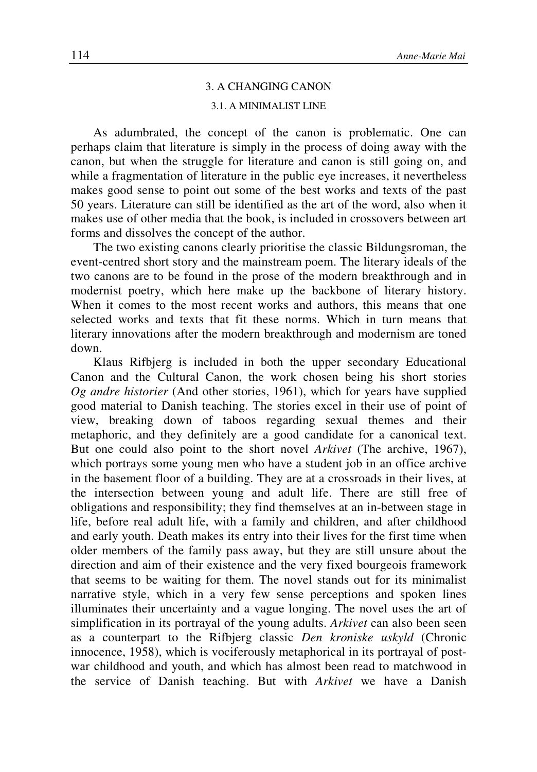# 3. A CHANGING CANON 3.1. A MINIMALIST LINE

As adumbrated, the concept of the canon is problematic. One can perhaps claim that literature is simply in the process of doing away with the canon, but when the struggle for literature and canon is still going on, and while a fragmentation of literature in the public eye increases, it nevertheless makes good sense to point out some of the best works and texts of the past 50 years. Literature can still be identified as the art of the word, also when it makes use of other media that the book, is included in crossovers between art forms and dissolves the concept of the author.

The two existing canons clearly prioritise the classic Bildungsroman, the event-centred short story and the mainstream poem. The literary ideals of the two canons are to be found in the prose of the modern breakthrough and in modernist poetry, which here make up the backbone of literary history. When it comes to the most recent works and authors, this means that one selected works and texts that fit these norms. Which in turn means that literary innovations after the modern breakthrough and modernism are toned down.

Klaus Rifbjerg is included in both the upper secondary Educational Canon and the Cultural Canon, the work chosen being his short stories *Og andre historier* (And other stories, 1961), which for years have supplied good material to Danish teaching. The stories excel in their use of point of view, breaking down of taboos regarding sexual themes and their metaphoric, and they definitely are a good candidate for a canonical text. But one could also point to the short novel *Arkivet* (The archive, 1967), which portrays some young men who have a student job in an office archive in the basement floor of a building. They are at a crossroads in their lives, at the intersection between young and adult life. There are still free of obligations and responsibility; they find themselves at an in-between stage in life, before real adult life, with a family and children, and after childhood and early youth. Death makes its entry into their lives for the first time when older members of the family pass away, but they are still unsure about the direction and aim of their existence and the very fixed bourgeois framework that seems to be waiting for them. The novel stands out for its minimalist narrative style, which in a very few sense perceptions and spoken lines illuminates their uncertainty and a vague longing. The novel uses the art of simplification in its portrayal of the young adults. *Arkivet* can also been seen as a counterpart to the Rifbjerg classic *Den kroniske uskyld* (Chronic innocence, 1958), which is vociferously metaphorical in its portrayal of postwar childhood and youth, and which has almost been read to matchwood in the service of Danish teaching. But with *Arkivet* we have a Danish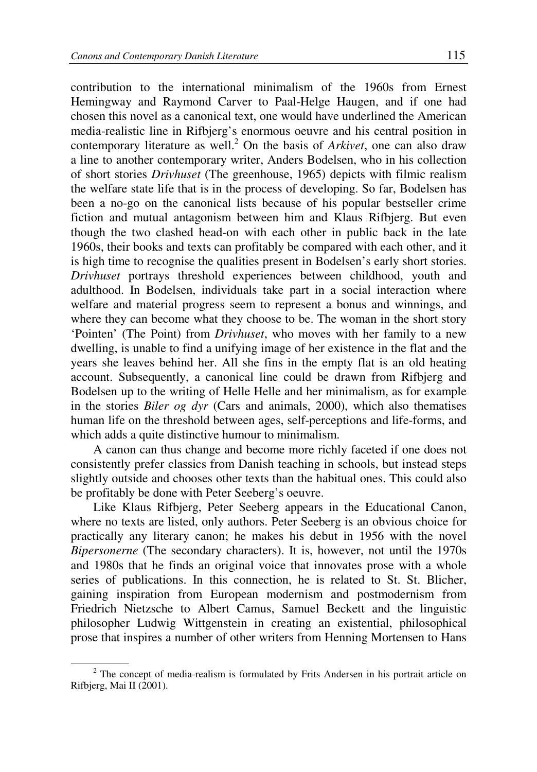contribution to the international minimalism of the 1960s from Ernest Hemingway and Raymond Carver to Paal-Helge Haugen, and if one had chosen this novel as a canonical text, one would have underlined the American media-realistic line in Rifbjerg's enormous oeuvre and his central position in contemporary literature as well.<sup>2</sup> On the basis of *Arkivet*, one can also draw a line to another contemporary writer, Anders Bodelsen, who in his collection of short stories *Drivhuset* (The greenhouse, 1965) depicts with filmic realism the welfare state life that is in the process of developing. So far, Bodelsen has been a no-go on the canonical lists because of his popular bestseller crime fiction and mutual antagonism between him and Klaus Rifbjerg. But even though the two clashed head-on with each other in public back in the late 1960s, their books and texts can profitably be compared with each other, and it is high time to recognise the qualities present in Bodelsen's early short stories. *Drivhuset* portrays threshold experiences between childhood, youth and adulthood. In Bodelsen, individuals take part in a social interaction where welfare and material progress seem to represent a bonus and winnings, and where they can become what they choose to be. The woman in the short story 'Pointen' (The Point) from *Drivhuset*, who moves with her family to a new dwelling, is unable to find a unifying image of her existence in the flat and the years she leaves behind her. All she fins in the empty flat is an old heating account. Subsequently, a canonical line could be drawn from Rifbjerg and Bodelsen up to the writing of Helle Helle and her minimalism, as for example in the stories *Biler og dyr* (Cars and animals, 2000), which also thematises human life on the threshold between ages, self-perceptions and life-forms, and which adds a quite distinctive humour to minimalism.

A canon can thus change and become more richly faceted if one does not consistently prefer classics from Danish teaching in schools, but instead steps slightly outside and chooses other texts than the habitual ones. This could also be profitably be done with Peter Seeberg's oeuvre.

Like Klaus Rifbjerg, Peter Seeberg appears in the Educational Canon, where no texts are listed, only authors. Peter Seeberg is an obvious choice for practically any literary canon; he makes his debut in 1956 with the novel *Bipersonerne* (The secondary characters). It is, however, not until the 1970s and 1980s that he finds an original voice that innovates prose with a whole series of publications. In this connection, he is related to St. St. Blicher, gaining inspiration from European modernism and postmodernism from Friedrich Nietzsche to Albert Camus, Samuel Beckett and the linguistic philosopher Ludwig Wittgenstein in creating an existential, philosophical prose that inspires a number of other writers from Henning Mortensen to Hans

 $2$  The concept of media-realism is formulated by Frits Andersen in his portrait article on Rifbjerg, Mai II (2001).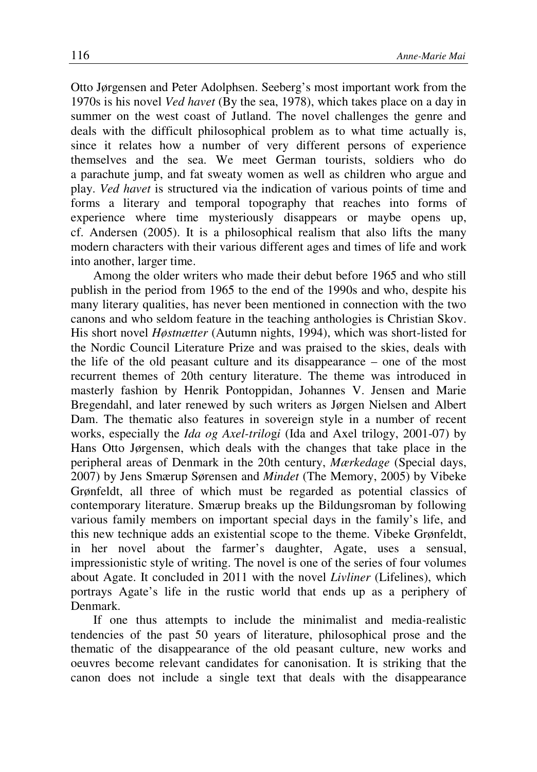Otto Jørgensen and Peter Adolphsen. Seeberg's most important work from the 1970s is his novel *Ved havet* (By the sea, 1978), which takes place on a day in summer on the west coast of Jutland. The novel challenges the genre and deals with the difficult philosophical problem as to what time actually is, since it relates how a number of very different persons of experience themselves and the sea. We meet German tourists, soldiers who do a parachute jump, and fat sweaty women as well as children who argue and play. *Ved havet* is structured via the indication of various points of time and forms a literary and temporal topography that reaches into forms of experience where time mysteriously disappears or maybe opens up, cf. Andersen (2005). It is a philosophical realism that also lifts the many modern characters with their various different ages and times of life and work into another, larger time.

Among the older writers who made their debut before 1965 and who still publish in the period from 1965 to the end of the 1990s and who, despite his many literary qualities, has never been mentioned in connection with the two canons and who seldom feature in the teaching anthologies is Christian Skov. His short novel *Høstnætter* (Autumn nights, 1994), which was short-listed for the Nordic Council Literature Prize and was praised to the skies, deals with the life of the old peasant culture and its disappearance – one of the most recurrent themes of 20th century literature. The theme was introduced in masterly fashion by Henrik Pontoppidan, Johannes V. Jensen and Marie Bregendahl, and later renewed by such writers as Jørgen Nielsen and Albert Dam. The thematic also features in sovereign style in a number of recent works, especially the *Ida og Axel-trilo*g*i* (Ida and Axel trilogy, 2001-07) by Hans Otto Jørgensen, which deals with the changes that take place in the peripheral areas of Denmark in the 20th century, *Mærkedage* (Special days, 2007) by Jens Smærup Sørensen and *Mindet* (The Memory, 2005) by Vibeke Grønfeldt, all three of which must be regarded as potential classics of contemporary literature. Smærup breaks up the Bildungsroman by following various family members on important special days in the family's life, and this new technique adds an existential scope to the theme. Vibeke Grønfeldt, in her novel about the farmer's daughter, Agate, uses a sensual, impressionistic style of writing. The novel is one of the series of four volumes about Agate. It concluded in 2011 with the novel *Livliner* (Lifelines), which portrays Agate's life in the rustic world that ends up as a periphery of Denmark.

If one thus attempts to include the minimalist and media-realistic tendencies of the past 50 years of literature, philosophical prose and the thematic of the disappearance of the old peasant culture, new works and oeuvres become relevant candidates for canonisation. It is striking that the canon does not include a single text that deals with the disappearance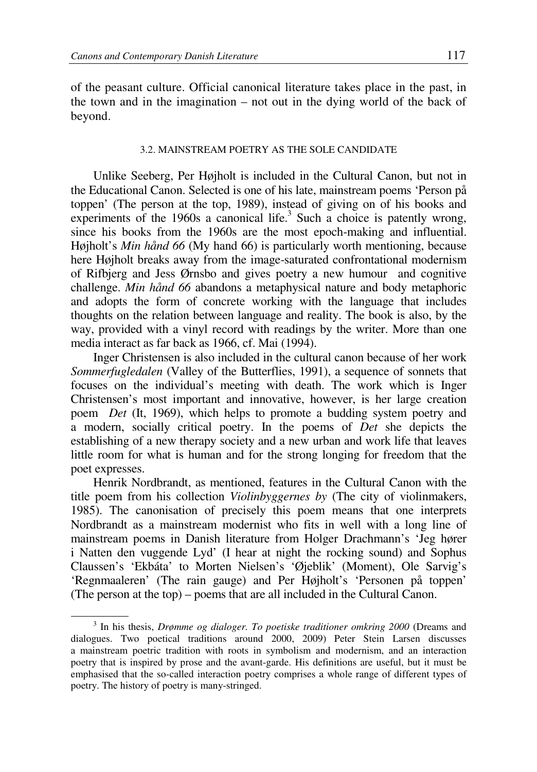of the peasant culture. Official canonical literature takes place in the past, in the town and in the imagination – not out in the dying world of the back of beyond.

## 3.2. MAINSTREAM POETRY AS THE SOLE CANDIDATE

Unlike Seeberg, Per Højholt is included in the Cultural Canon, but not in the Educational Canon. Selected is one of his late, mainstream poems 'Person på toppen' (The person at the top, 1989), instead of giving on of his books and experiments of the 1960s a canonical life.<sup>3</sup> Such a choice is patently wrong, since his books from the 1960s are the most epoch-making and influential. Højholt's *Min hånd 66* (My hand 66) is particularly worth mentioning, because here Højholt breaks away from the image-saturated confrontational modernism of Rifbjerg and Jess Ørnsbo and gives poetry a new humour and cognitive challenge. *Min hånd 66* abandons a metaphysical nature and body metaphoric and adopts the form of concrete working with the language that includes thoughts on the relation between language and reality. The book is also, by the way, provided with a vinyl record with readings by the writer. More than one media interact as far back as 1966, cf. Mai (1994).

Inger Christensen is also included in the cultural canon because of her work *Sommerfugledalen* (Valley of the Butterflies, 1991), a sequence of sonnets that focuses on the individual's meeting with death. The work which is Inger Christensen's most important and innovative, however, is her large creation poem *Det* (It, 1969), which helps to promote a budding system poetry and a modern, socially critical poetry. In the poems of *Det* she depicts the establishing of a new therapy society and a new urban and work life that leaves little room for what is human and for the strong longing for freedom that the poet expresses.

Henrik Nordbrandt, as mentioned, features in the Cultural Canon with the title poem from his collection *Violinbyggernes by* (The city of violinmakers, 1985). The canonisation of precisely this poem means that one interprets Nordbrandt as a mainstream modernist who fits in well with a long line of mainstream poems in Danish literature from Holger Drachmann's 'Jeg hører i Natten den vuggende Lyd' (I hear at night the rocking sound) and Sophus Claussen's 'Ekbáta' to Morten Nielsen's 'Øjeblik' (Moment), Ole Sarvig's 'Regnmaaleren' (The rain gauge) and Per Højholt's 'Personen på toppen' (The person at the top) – poems that are all included in the Cultural Canon.

<sup>3</sup> In his thesis, *Drømme og dialoger. To poetiske traditioner omkring 2000* (Dreams and dialogues. Two poetical traditions around 2000, 2009) Peter Stein Larsen discusses a mainstream poetric tradition with roots in symbolism and modernism, and an interaction poetry that is inspired by prose and the avant-garde. His definitions are useful, but it must be emphasised that the so-called interaction poetry comprises a whole range of different types of poetry. The history of poetry is many-stringed.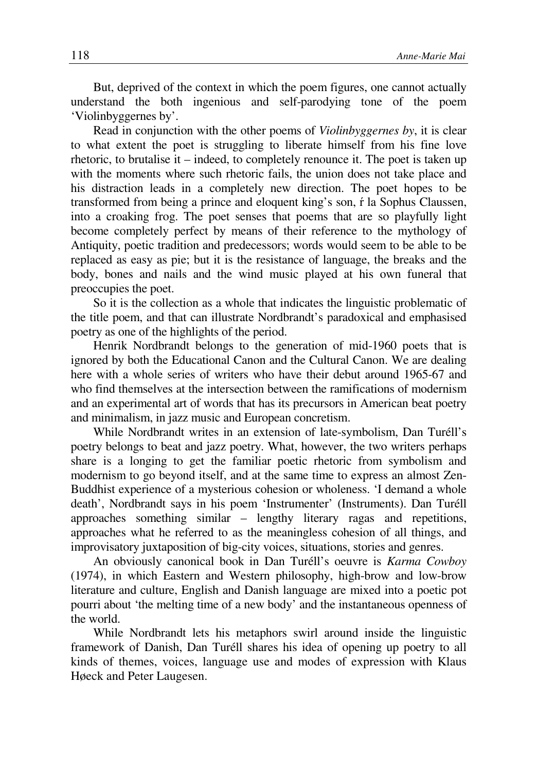But, deprived of the context in which the poem figures, one cannot actually understand the both ingenious and self-parodying tone of the poem 'Violinbyggernes by'.

Read in conjunction with the other poems of *Violinbyggernes by*, it is clear to what extent the poet is struggling to liberate himself from his fine love rhetoric, to brutalise it – indeed, to completely renounce it. The poet is taken up with the moments where such rhetoric fails, the union does not take place and his distraction leads in a completely new direction. The poet hopes to be transformed from being a prince and eloquent king's son, ŕ la Sophus Claussen, into a croaking frog. The poet senses that poems that are so playfully light become completely perfect by means of their reference to the mythology of Antiquity, poetic tradition and predecessors; words would seem to be able to be replaced as easy as pie; but it is the resistance of language, the breaks and the body, bones and nails and the wind music played at his own funeral that preoccupies the poet.

So it is the collection as a whole that indicates the linguistic problematic of the title poem, and that can illustrate Nordbrandt's paradoxical and emphasised poetry as one of the highlights of the period.

Henrik Nordbrandt belongs to the generation of mid-1960 poets that is ignored by both the Educational Canon and the Cultural Canon. We are dealing here with a whole series of writers who have their debut around 1965-67 and who find themselves at the intersection between the ramifications of modernism and an experimental art of words that has its precursors in American beat poetry and minimalism, in jazz music and European concretism.

While Nordbrandt writes in an extension of late-symbolism, Dan Turéll's poetry belongs to beat and jazz poetry. What, however, the two writers perhaps share is a longing to get the familiar poetic rhetoric from symbolism and modernism to go beyond itself, and at the same time to express an almost Zen-Buddhist experience of a mysterious cohesion or wholeness. 'I demand a whole death', Nordbrandt says in his poem 'Instrumenter' (Instruments). Dan Turéll approaches something similar – lengthy literary ragas and repetitions, approaches what he referred to as the meaningless cohesion of all things, and improvisatory juxtaposition of big-city voices, situations, stories and genres.

An obviously canonical book in Dan Turéll's oeuvre is *Karma Cowboy*  (1974), in which Eastern and Western philosophy, high-brow and low-brow literature and culture, English and Danish language are mixed into a poetic pot pourri about 'the melting time of a new body' and the instantaneous openness of the world.

While Nordbrandt lets his metaphors swirl around inside the linguistic framework of Danish, Dan Turéll shares his idea of opening up poetry to all kinds of themes, voices, language use and modes of expression with Klaus Høeck and Peter Laugesen.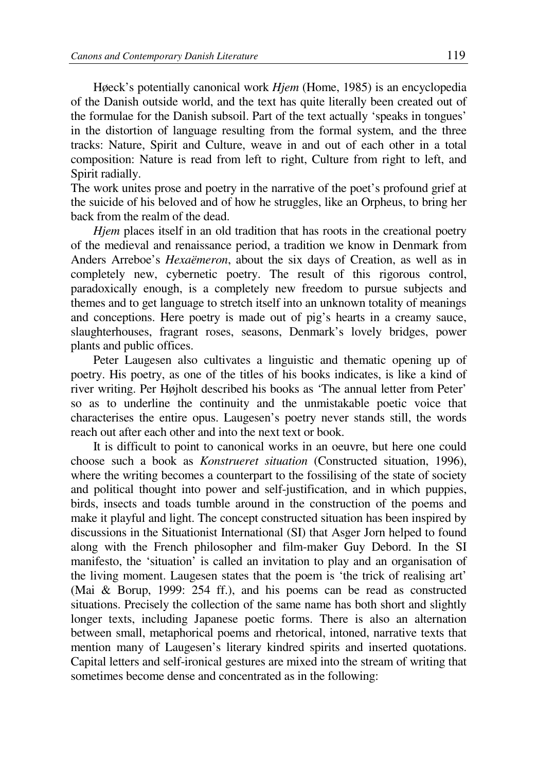Høeck's potentially canonical work *Hjem* (Home, 1985) is an encyclopedia of the Danish outside world, and the text has quite literally been created out of the formulae for the Danish subsoil. Part of the text actually 'speaks in tongues' in the distortion of language resulting from the formal system, and the three tracks: Nature, Spirit and Culture, weave in and out of each other in a total composition: Nature is read from left to right, Culture from right to left, and Spirit radially.

The work unites prose and poetry in the narrative of the poet's profound grief at the suicide of his beloved and of how he struggles, like an Orpheus, to bring her back from the realm of the dead.

*Hjem* places itself in an old tradition that has roots in the creational poetry of the medieval and renaissance period, a tradition we know in Denmark from Anders Arreboe's *Hexaëmeron*, about the six days of Creation, as well as in completely new, cybernetic poetry. The result of this rigorous control, paradoxically enough, is a completely new freedom to pursue subjects and themes and to get language to stretch itself into an unknown totality of meanings and conceptions. Here poetry is made out of pig's hearts in a creamy sauce, slaughterhouses, fragrant roses, seasons, Denmark's lovely bridges, power plants and public offices.

Peter Laugesen also cultivates a linguistic and thematic opening up of poetry. His poetry, as one of the titles of his books indicates, is like a kind of river writing. Per Højholt described his books as 'The annual letter from Peter' so as to underline the continuity and the unmistakable poetic voice that characterises the entire opus. Laugesen's poetry never stands still, the words reach out after each other and into the next text or book.

It is difficult to point to canonical works in an oeuvre, but here one could choose such a book as *Konstrueret situation* (Constructed situation, 1996), where the writing becomes a counterpart to the fossilising of the state of society and political thought into power and self-justification, and in which puppies, birds, insects and toads tumble around in the construction of the poems and make it playful and light. The concept constructed situation has been inspired by discussions in the Situationist International (SI) that Asger Jorn helped to found along with the French philosopher and film-maker Guy Debord. In the SI manifesto, the 'situation' is called an invitation to play and an organisation of the living moment. Laugesen states that the poem is 'the trick of realising art' (Mai & Borup, 1999: 254 ff.), and his poems can be read as constructed situations. Precisely the collection of the same name has both short and slightly longer texts, including Japanese poetic forms. There is also an alternation between small, metaphorical poems and rhetorical, intoned, narrative texts that mention many of Laugesen's literary kindred spirits and inserted quotations. Capital letters and self-ironical gestures are mixed into the stream of writing that sometimes become dense and concentrated as in the following: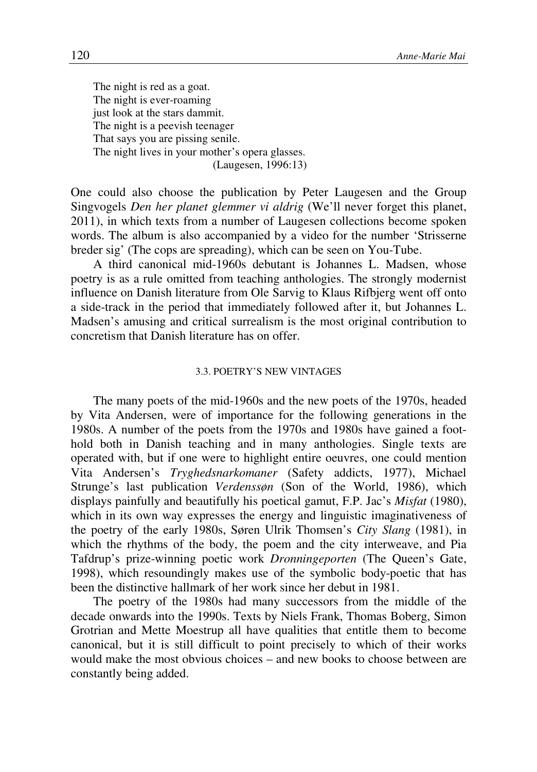The night is red as a goat. The night is ever-roaming just look at the stars dammit. The night is a peevish teenager That says you are pissing senile. The night lives in your mother's opera glasses. (Laugesen, 1996:13)

One could also choose the publication by Peter Laugesen and the Group Singvogels *Den her planet glemmer vi aldrig* (We'll never forget this planet, 2011), in which texts from a number of Laugesen collections become spoken words. The album is also accompanied by a video for the number 'Strisserne breder sig' (The cops are spreading), which can be seen on You-Tube.

A third canonical mid-1960s debutant is Johannes L. Madsen, whose poetry is as a rule omitted from teaching anthologies. The strongly modernist influence on Danish literature from Ole Sarvig to Klaus Rifbjerg went off onto a side-track in the period that immediately followed after it, but Johannes L. Madsen's amusing and critical surrealism is the most original contribution to concretism that Danish literature has on offer.

# 3.3. POETRY'S NEW VINTAGES

The many poets of the mid-1960s and the new poets of the 1970s, headed by Vita Andersen, were of importance for the following generations in the 1980s. A number of the poets from the 1970s and 1980s have gained a foothold both in Danish teaching and in many anthologies. Single texts are operated with, but if one were to highlight entire oeuvres, one could mention Vita Andersen's *Tryghedsnarkomaner* (Safety addicts, 1977), Michael Strunge's last publication *Verdenssøn* (Son of the World, 1986), which displays painfully and beautifully his poetical gamut, F.P. Jac's *Misfat* (1980), which in its own way expresses the energy and linguistic imaginativeness of the poetry of the early 1980s, Søren Ulrik Thomsen's *City Slang* (1981), in which the rhythms of the body, the poem and the city interweave, and Pia Tafdrup's prize-winning poetic work *Dronningeporten* (The Queen's Gate, 1998), which resoundingly makes use of the symbolic body-poetic that has been the distinctive hallmark of her work since her debut in 1981.

The poetry of the 1980s had many successors from the middle of the decade onwards into the 1990s. Texts by Niels Frank, Thomas Boberg, Simon Grotrian and Mette Moestrup all have qualities that entitle them to become canonical, but it is still difficult to point precisely to which of their works would make the most obvious choices – and new books to choose between are constantly being added.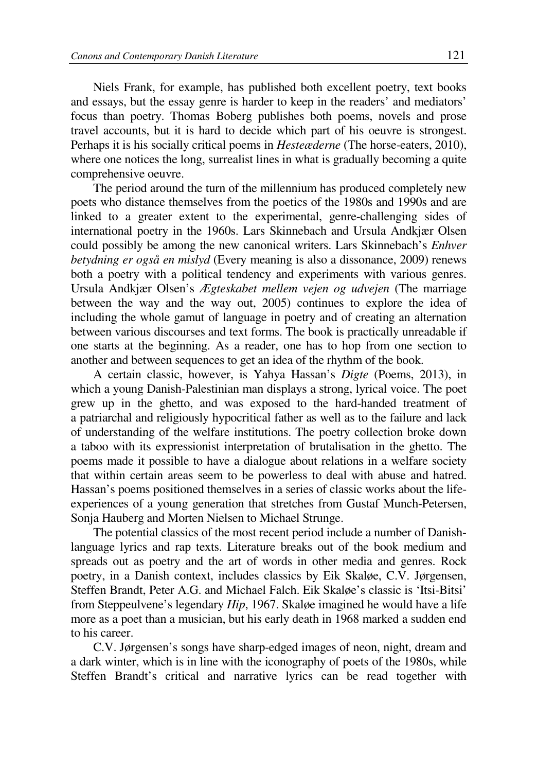Niels Frank, for example, has published both excellent poetry, text books and essays, but the essay genre is harder to keep in the readers' and mediators' focus than poetry. Thomas Boberg publishes both poems, novels and prose travel accounts, but it is hard to decide which part of his oeuvre is strongest. Perhaps it is his socially critical poems in *Hesteæderne* (The horse-eaters, 2010), where one notices the long, surrealist lines in what is gradually becoming a quite comprehensive oeuvre.

The period around the turn of the millennium has produced completely new poets who distance themselves from the poetics of the 1980s and 1990s and are linked to a greater extent to the experimental, genre-challenging sides of international poetry in the 1960s. Lars Skinnebach and Ursula Andkjær Olsen could possibly be among the new canonical writers. Lars Skinnebach's *Enhver betydning er også en mislyd* (Every meaning is also a dissonance, 2009) renews both a poetry with a political tendency and experiments with various genres. Ursula Andkjær Olsen's *Ægteskabet mellem vejen og udvejen* (The marriage between the way and the way out, 2005) continues to explore the idea of including the whole gamut of language in poetry and of creating an alternation between various discourses and text forms. The book is practically unreadable if one starts at the beginning. As a reader, one has to hop from one section to another and between sequences to get an idea of the rhythm of the book.

A certain classic, however, is Yahya Hassan's *Digte* (Poems, 2013), in which a young Danish-Palestinian man displays a strong, lyrical voice. The poet grew up in the ghetto, and was exposed to the hard-handed treatment of a patriarchal and religiously hypocritical father as well as to the failure and lack of understanding of the welfare institutions. The poetry collection broke down a taboo with its expressionist interpretation of brutalisation in the ghetto. The poems made it possible to have a dialogue about relations in a welfare society that within certain areas seem to be powerless to deal with abuse and hatred. Hassan's poems positioned themselves in a series of classic works about the lifeexperiences of a young generation that stretches from Gustaf Munch-Petersen, Sonja Hauberg and Morten Nielsen to Michael Strunge.

The potential classics of the most recent period include a number of Danishlanguage lyrics and rap texts. Literature breaks out of the book medium and spreads out as poetry and the art of words in other media and genres. Rock poetry, in a Danish context, includes classics by Eik Skaløe, C.V. Jørgensen, Steffen Brandt, Peter A.G. and Michael Falch. Eik Skaløe's classic is 'Itsi-Bitsi' from Steppeulvene's legendary *Hip*, 1967. Skaløe imagined he would have a life more as a poet than a musician, but his early death in 1968 marked a sudden end to his career.

C.V. Jørgensen's songs have sharp-edged images of neon, night, dream and a dark winter, which is in line with the iconography of poets of the 1980s, while Steffen Brandt's critical and narrative lyrics can be read together with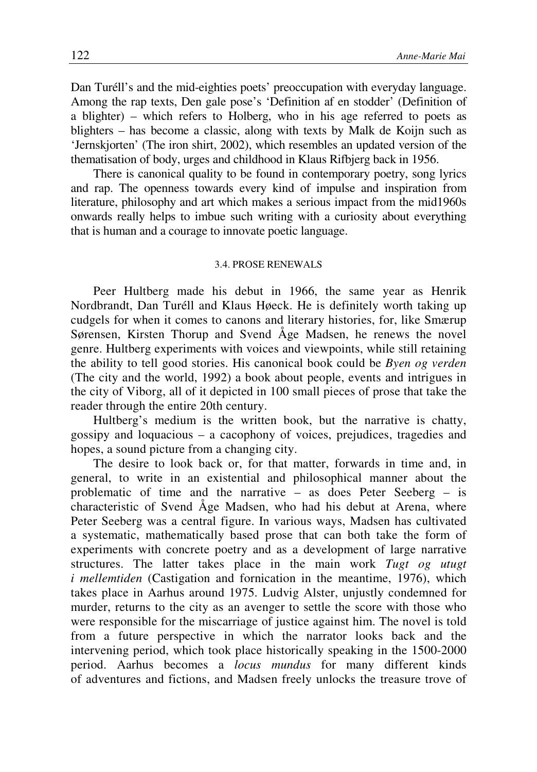Dan Turéll's and the mid-eighties poets' preoccupation with everyday language. Among the rap texts, Den gale pose's 'Definition af en stodder' (Definition of a blighter) – which refers to Holberg, who in his age referred to poets as blighters – has become a classic, along with texts by Malk de Koijn such as 'Jernskjorten' (The iron shirt, 2002), which resembles an updated version of the thematisation of body, urges and childhood in Klaus Rifbjerg back in 1956.

There is canonical quality to be found in contemporary poetry, song lyrics and rap. The openness towards every kind of impulse and inspiration from literature, philosophy and art which makes a serious impact from the mid1960s onwards really helps to imbue such writing with a curiosity about everything that is human and a courage to innovate poetic language.

#### 3.4. PROSE RENEWALS

Peer Hultberg made his debut in 1966, the same year as Henrik Nordbrandt, Dan Turéll and Klaus Høeck. He is definitely worth taking up cudgels for when it comes to canons and literary histories, for, like Smærup Sørensen, Kirsten Thorup and Svend Åge Madsen, he renews the novel genre. Hultberg experiments with voices and viewpoints, while still retaining the ability to tell good stories. His canonical book could be *Byen og verden* (The city and the world, 1992) a book about people, events and intrigues in the city of Viborg, all of it depicted in 100 small pieces of prose that take the reader through the entire 20th century.

Hultberg's medium is the written book, but the narrative is chatty, gossipy and loquacious – a cacophony of voices, prejudices, tragedies and hopes, a sound picture from a changing city.

The desire to look back or, for that matter, forwards in time and, in general, to write in an existential and philosophical manner about the problematic of time and the narrative – as does Peter Seeberg – is characteristic of Svend Åge Madsen, who had his debut at Arena, where Peter Seeberg was a central figure. In various ways, Madsen has cultivated a systematic, mathematically based prose that can both take the form of experiments with concrete poetry and as a development of large narrative structures. The latter takes place in the main work *Tugt og utugt i mellemtiden* (Castigation and fornication in the meantime, 1976), which takes place in Aarhus around 1975. Ludvig Alster, unjustly condemned for murder, returns to the city as an avenger to settle the score with those who were responsible for the miscarriage of justice against him. The novel is told from a future perspective in which the narrator looks back and the intervening period, which took place historically speaking in the 1500-2000 period. Aarhus becomes a *locus mundus* for many different kinds of adventures and fictions, and Madsen freely unlocks the treasure trove of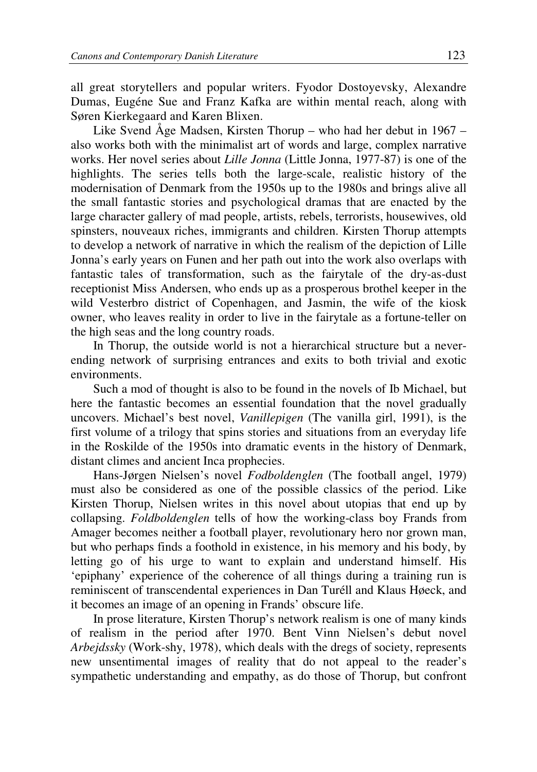all great storytellers and popular writers. Fyodor Dostoyevsky, Alexandre Dumas, Eugéne Sue and Franz Kafka are within mental reach, along with Søren Kierkegaard and Karen Blixen.

Like Svend Åge Madsen, Kirsten Thorup – who had her debut in 1967 – also works both with the minimalist art of words and large, complex narrative works. Her novel series about *Lille Jonna* (Little Jonna, 1977-87) is one of the highlights. The series tells both the large-scale, realistic history of the modernisation of Denmark from the 1950s up to the 1980s and brings alive all the small fantastic stories and psychological dramas that are enacted by the large character gallery of mad people, artists, rebels, terrorists, housewives, old spinsters, nouveaux riches, immigrants and children. Kirsten Thorup attempts to develop a network of narrative in which the realism of the depiction of Lille Jonna's early years on Funen and her path out into the work also overlaps with fantastic tales of transformation, such as the fairytale of the dry-as-dust receptionist Miss Andersen, who ends up as a prosperous brothel keeper in the wild Vesterbro district of Copenhagen, and Jasmin, the wife of the kiosk owner, who leaves reality in order to live in the fairytale as a fortune-teller on the high seas and the long country roads.

In Thorup, the outside world is not a hierarchical structure but a neverending network of surprising entrances and exits to both trivial and exotic environments.

Such a mod of thought is also to be found in the novels of Ib Michael, but here the fantastic becomes an essential foundation that the novel gradually uncovers. Michael's best novel, *Vanillepigen* (The vanilla girl, 1991), is the first volume of a trilogy that spins stories and situations from an everyday life in the Roskilde of the 1950s into dramatic events in the history of Denmark, distant climes and ancient Inca prophecies.

Hans-Jørgen Nielsen's novel *Fodboldenglen* (The football angel, 1979) must also be considered as one of the possible classics of the period. Like Kirsten Thorup, Nielsen writes in this novel about utopias that end up by collapsing. *Foldboldenglen* tells of how the working-class boy Frands from Amager becomes neither a football player, revolutionary hero nor grown man, but who perhaps finds a foothold in existence, in his memory and his body, by letting go of his urge to want to explain and understand himself. His 'epiphany' experience of the coherence of all things during a training run is reminiscent of transcendental experiences in Dan Turéll and Klaus Høeck, and it becomes an image of an opening in Frands' obscure life.

In prose literature, Kirsten Thorup's network realism is one of many kinds of realism in the period after 1970. Bent Vinn Nielsen's debut novel *Arbejdssky* (Work-shy, 1978), which deals with the dregs of society, represents new unsentimental images of reality that do not appeal to the reader's sympathetic understanding and empathy, as do those of Thorup, but confront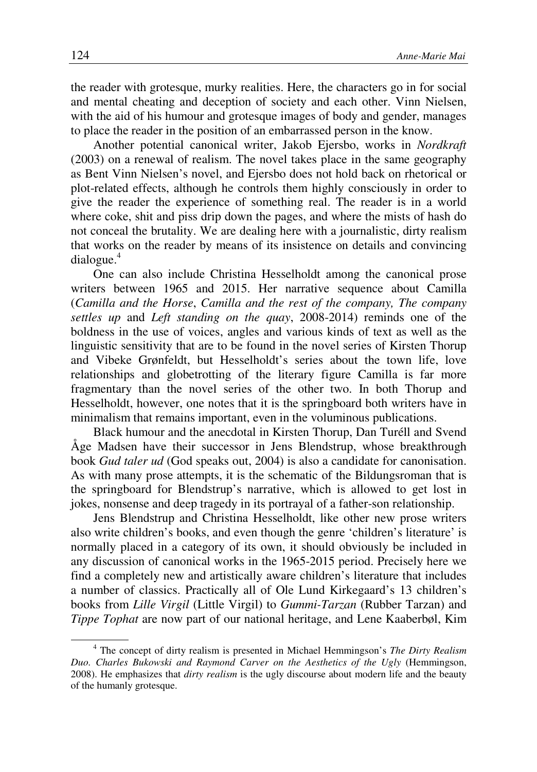the reader with grotesque, murky realities. Here, the characters go in for social and mental cheating and deception of society and each other. Vinn Nielsen, with the aid of his humour and grotesque images of body and gender, manages to place the reader in the position of an embarrassed person in the know.

Another potential canonical writer, Jakob Ejersbo, works in *Nordkraft* (2003) on a renewal of realism. The novel takes place in the same geography as Bent Vinn Nielsen's novel, and Ejersbo does not hold back on rhetorical or plot-related effects, although he controls them highly consciously in order to give the reader the experience of something real. The reader is in a world where coke, shit and piss drip down the pages, and where the mists of hash do not conceal the brutality. We are dealing here with a journalistic, dirty realism that works on the reader by means of its insistence on details and convincing  $dialogue.<sup>4</sup>$ 

One can also include Christina Hesselholdt among the canonical prose writers between 1965 and 2015. Her narrative sequence about Camilla (*Camilla and the Horse*, *Camilla and the rest of the company, The company settles up* and *Left standing on the quay*, 2008-2014) reminds one of the boldness in the use of voices, angles and various kinds of text as well as the linguistic sensitivity that are to be found in the novel series of Kirsten Thorup and Vibeke Grønfeldt, but Hesselholdt's series about the town life, love relationships and globetrotting of the literary figure Camilla is far more fragmentary than the novel series of the other two. In both Thorup and Hesselholdt, however, one notes that it is the springboard both writers have in minimalism that remains important, even in the voluminous publications.

Black humour and the anecdotal in Kirsten Thorup, Dan Turéll and Svend Åge Madsen have their successor in Jens Blendstrup, whose breakthrough book *Gud taler ud* (God speaks out, 2004) is also a candidate for canonisation. As with many prose attempts, it is the schematic of the Bildungsroman that is the springboard for Blendstrup's narrative, which is allowed to get lost in jokes, nonsense and deep tragedy in its portrayal of a father-son relationship.

Jens Blendstrup and Christina Hesselholdt, like other new prose writers also write children's books, and even though the genre 'children's literature' is normally placed in a category of its own, it should obviously be included in any discussion of canonical works in the 1965-2015 period. Precisely here we find a completely new and artistically aware children's literature that includes a number of classics. Practically all of Ole Lund Kirkegaard's 13 children's books from *Lille Virgil* (Little Virgil) to *Gummi-Tarzan* (Rubber Tarzan) and *Tippe Tophat* are now part of our national heritage, and Lene Kaaberbøl, Kim

<sup>4</sup> The concept of dirty realism is presented in Michael Hemmingson's *The Dirty Realism Duo. Charles Bukowski and Raymond Carver on the Aesthetics of the Ugly* (Hemmingson, 2008). He emphasizes that *dirty realism* is the ugly discourse about modern life and the beauty of the humanly grotesque.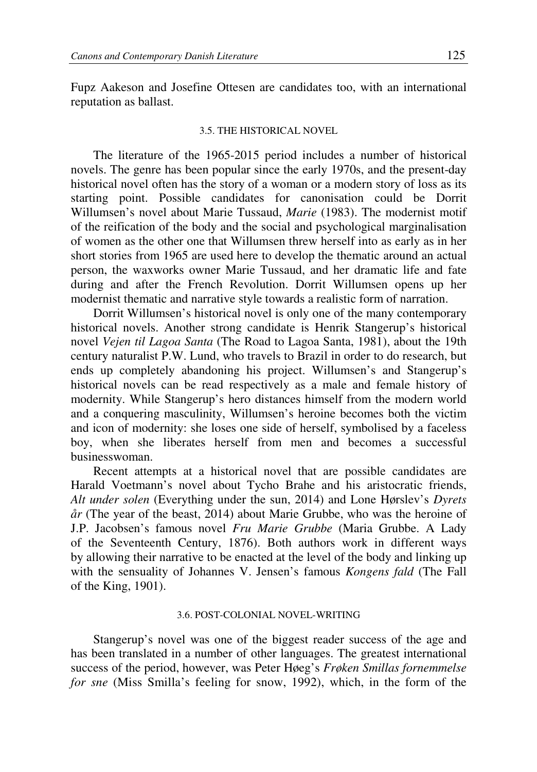Fupz Aakeson and Josefine Ottesen are candidates too, with an international reputation as ballast.

# 3.5. THE HISTORICAL NOVEL

The literature of the 1965-2015 period includes a number of historical novels. The genre has been popular since the early 1970s, and the present-day historical novel often has the story of a woman or a modern story of loss as its starting point. Possible candidates for canonisation could be Dorrit Willumsen's novel about Marie Tussaud, *Marie* (1983). The modernist motif of the reification of the body and the social and psychological marginalisation of women as the other one that Willumsen threw herself into as early as in her short stories from 1965 are used here to develop the thematic around an actual person, the waxworks owner Marie Tussaud, and her dramatic life and fate during and after the French Revolution. Dorrit Willumsen opens up her modernist thematic and narrative style towards a realistic form of narration.

Dorrit Willumsen's historical novel is only one of the many contemporary historical novels. Another strong candidate is Henrik Stangerup's historical novel *Vejen til Lagoa Santa* (The Road to Lagoa Santa, 1981), about the 19th century naturalist P.W. Lund, who travels to Brazil in order to do research, but ends up completely abandoning his project. Willumsen's and Stangerup's historical novels can be read respectively as a male and female history of modernity. While Stangerup's hero distances himself from the modern world and a conquering masculinity, Willumsen's heroine becomes both the victim and icon of modernity: she loses one side of herself, symbolised by a faceless boy, when she liberates herself from men and becomes a successful businesswoman.

Recent attempts at a historical novel that are possible candidates are Harald Voetmann's novel about Tycho Brahe and his aristocratic friends, *Alt under solen* (Everything under the sun, 2014) and Lone Hørslev's *Dyrets år* (The year of the beast, 2014) about Marie Grubbe, who was the heroine of J.P. Jacobsen's famous novel *Fru Marie Grubbe* (Maria Grubbe. A Lady of the Seventeenth Century, 1876). Both authors work in different ways by allowing their narrative to be enacted at the level of the body and linking up with the sensuality of Johannes V. Jensen's famous *Kongens fald* (The Fall of the King, 1901).

#### 3.6. POST-COLONIAL NOVEL-WRITING

Stangerup's novel was one of the biggest reader success of the age and has been translated in a number of other languages. The greatest international success of the period, however, was Peter Høeg's *Frøken Smillas fornemmelse for sne* (Miss Smilla's feeling for snow, 1992), which, in the form of the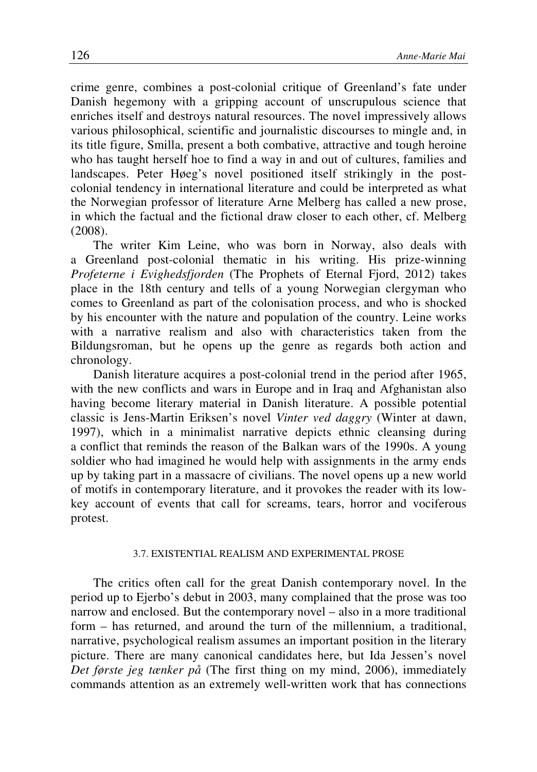crime genre, combines a post-colonial critique of Greenland's fate under Danish hegemony with a gripping account of unscrupulous science that enriches itself and destroys natural resources. The novel impressively allows various philosophical, scientific and journalistic discourses to mingle and, in its title figure, Smilla, present a both combative, attractive and tough heroine who has taught herself hoe to find a way in and out of cultures, families and landscapes. Peter Høeg's novel positioned itself strikingly in the postcolonial tendency in international literature and could be interpreted as what the Norwegian professor of literature Arne Melberg has called a new prose, in which the factual and the fictional draw closer to each other, cf. Melberg (2008).

The writer Kim Leine, who was born in Norway, also deals with a Greenland post-colonial thematic in his writing. His prize-winning *Profeterne i Evighedsfjorden* (The Prophets of Eternal Fjord, 2012) takes place in the 18th century and tells of a young Norwegian clergyman who comes to Greenland as part of the colonisation process, and who is shocked by his encounter with the nature and population of the country. Leine works with a narrative realism and also with characteristics taken from the Bildungsroman, but he opens up the genre as regards both action and chronology.

Danish literature acquires a post-colonial trend in the period after 1965, with the new conflicts and wars in Europe and in Iraq and Afghanistan also having become literary material in Danish literature. A possible potential classic is Jens-Martin Eriksen's novel *Vinter ved daggry* (Winter at dawn, 1997), which in a minimalist narrative depicts ethnic cleansing during a conflict that reminds the reason of the Balkan wars of the 1990s. A young soldier who had imagined he would help with assignments in the army ends up by taking part in a massacre of civilians. The novel opens up a new world of motifs in contemporary literature, and it provokes the reader with its lowkey account of events that call for screams, tears, horror and vociferous protest.

#### 3.7. EXISTENTIAL REALISM AND EXPERIMENTAL PROSE

The critics often call for the great Danish contemporary novel. In the period up to Ejerbo's debut in 2003, many complained that the prose was too narrow and enclosed. But the contemporary novel – also in a more traditional form – has returned, and around the turn of the millennium, a traditional, narrative, psychological realism assumes an important position in the literary picture. There are many canonical candidates here, but Ida Jessen's novel *Det første jeg tænker på* (The first thing on my mind, 2006), immediately commands attention as an extremely well-written work that has connections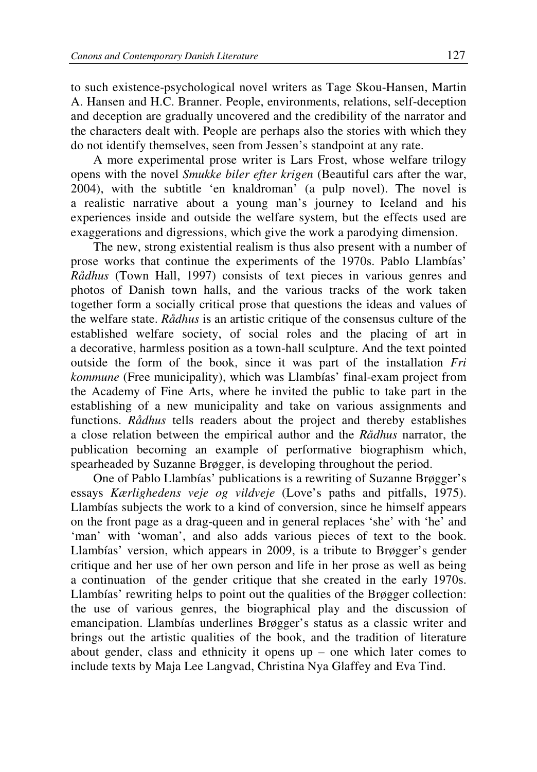to such existence-psychological novel writers as Tage Skou-Hansen, Martin A. Hansen and H.C. Branner. People, environments, relations, self-deception and deception are gradually uncovered and the credibility of the narrator and the characters dealt with. People are perhaps also the stories with which they do not identify themselves, seen from Jessen's standpoint at any rate.

A more experimental prose writer is Lars Frost, whose welfare trilogy opens with the novel *Smukke biler efter krigen* (Beautiful cars after the war, 2004), with the subtitle 'en knaldroman' (a pulp novel). The novel is a realistic narrative about a young man's journey to Iceland and his experiences inside and outside the welfare system, but the effects used are exaggerations and digressions, which give the work a parodying dimension.

The new, strong existential realism is thus also present with a number of prose works that continue the experiments of the 1970s. Pablo Llambías' *Rådhus* (Town Hall, 1997) consists of text pieces in various genres and photos of Danish town halls, and the various tracks of the work taken together form a socially critical prose that questions the ideas and values of the welfare state. *Rådhus* is an artistic critique of the consensus culture of the established welfare society, of social roles and the placing of art in a decorative, harmless position as a town-hall sculpture. And the text pointed outside the form of the book, since it was part of the installation *Fri kommune* (Free municipality), which was Llambías' final-exam project from the Academy of Fine Arts, where he invited the public to take part in the establishing of a new municipality and take on various assignments and functions. *Rådhus* tells readers about the project and thereby establishes a close relation between the empirical author and the *Rådhus* narrator, the publication becoming an example of performative biographism which, spearheaded by Suzanne Brøgger, is developing throughout the period.

One of Pablo Llambías' publications is a rewriting of Suzanne Brøgger's essays *Kærlighedens veje og vildveje* (Love's paths and pitfalls, 1975). Llambías subjects the work to a kind of conversion, since he himself appears on the front page as a drag-queen and in general replaces 'she' with 'he' and 'man' with 'woman', and also adds various pieces of text to the book. Llambías' version, which appears in 2009, is a tribute to Brøgger's gender critique and her use of her own person and life in her prose as well as being a continuation of the gender critique that she created in the early 1970s. Llambías' rewriting helps to point out the qualities of the Brøgger collection: the use of various genres, the biographical play and the discussion of emancipation. Llambías underlines Brøgger's status as a classic writer and brings out the artistic qualities of the book, and the tradition of literature about gender, class and ethnicity it opens up – one which later comes to include texts by Maja Lee Langvad, Christina Nya Glaffey and Eva Tind.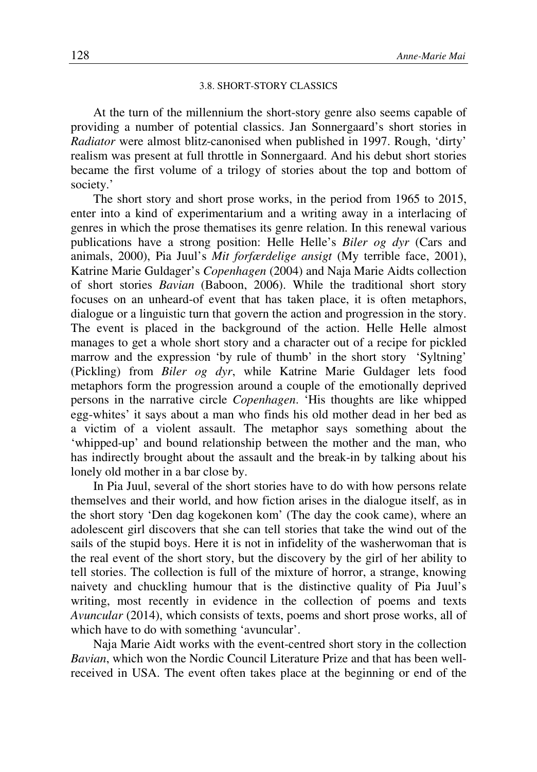#### 3.8. SHORT-STORY CLASSICS

At the turn of the millennium the short-story genre also seems capable of providing a number of potential classics. Jan Sonnergaard's short stories in *Radiator* were almost blitz-canonised when published in 1997. Rough, 'dirty' realism was present at full throttle in Sonnergaard. And his debut short stories became the first volume of a trilogy of stories about the top and bottom of society.'

The short story and short prose works, in the period from 1965 to 2015, enter into a kind of experimentarium and a writing away in a interlacing of genres in which the prose thematises its genre relation. In this renewal various publications have a strong position: Helle Helle's *Biler og dyr* (Cars and animals, 2000), Pia Juul's *Mit forfærdelige ansigt* (My terrible face, 2001), Katrine Marie Guldager's *Copenhagen* (2004) and Naja Marie Aidts collection of short stories *Bavian* (Baboon, 2006). While the traditional short story focuses on an unheard-of event that has taken place, it is often metaphors, dialogue or a linguistic turn that govern the action and progression in the story. The event is placed in the background of the action. Helle Helle almost manages to get a whole short story and a character out of a recipe for pickled marrow and the expression 'by rule of thumb' in the short story 'Syltning' (Pickling) from *Biler og dyr*, while Katrine Marie Guldager lets food metaphors form the progression around a couple of the emotionally deprived persons in the narrative circle *Copenhagen*. 'His thoughts are like whipped egg-whites' it says about a man who finds his old mother dead in her bed as a victim of a violent assault. The metaphor says something about the 'whipped-up' and bound relationship between the mother and the man, who has indirectly brought about the assault and the break-in by talking about his lonely old mother in a bar close by.

In Pia Juul, several of the short stories have to do with how persons relate themselves and their world, and how fiction arises in the dialogue itself, as in the short story 'Den dag kogekonen kom' (The day the cook came), where an adolescent girl discovers that she can tell stories that take the wind out of the sails of the stupid boys. Here it is not in infidelity of the washerwoman that is the real event of the short story, but the discovery by the girl of her ability to tell stories. The collection is full of the mixture of horror, a strange, knowing naivety and chuckling humour that is the distinctive quality of Pia Juul's writing, most recently in evidence in the collection of poems and texts *Avuncular* (2014), which consists of texts, poems and short prose works, all of which have to do with something 'avuncular'.

Naja Marie Aidt works with the event-centred short story in the collection *Bavian*, which won the Nordic Council Literature Prize and that has been wellreceived in USA. The event often takes place at the beginning or end of the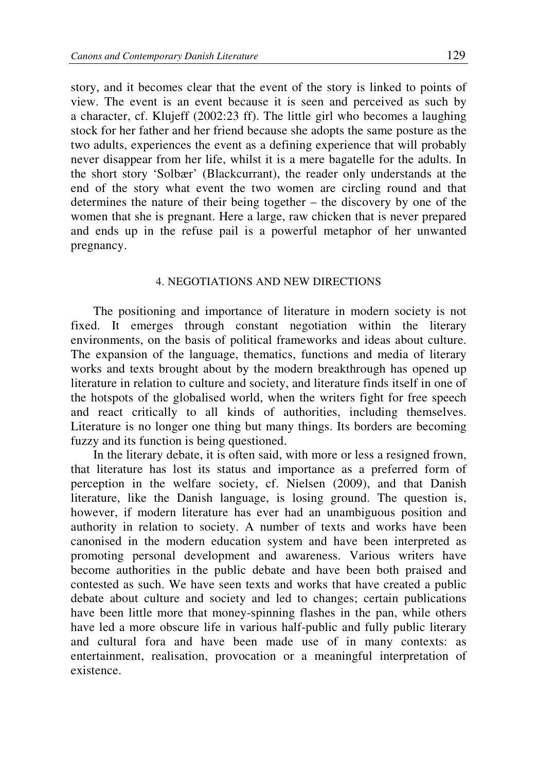story, and it becomes clear that the event of the story is linked to points of view. The event is an event because it is seen and perceived as such by a character, cf. Klujeff (2002:23 ff). The little girl who becomes a laughing stock for her father and her friend because she adopts the same posture as the two adults, experiences the event as a defining experience that will probably never disappear from her life, whilst it is a mere bagatelle for the adults. In the short story 'Solbær' (Blackcurrant), the reader only understands at the end of the story what event the two women are circling round and that determines the nature of their being together – the discovery by one of the women that she is pregnant. Here a large, raw chicken that is never prepared and ends up in the refuse pail is a powerful metaphor of her unwanted pregnancy.

# 4. NEGOTIATIONS AND NEW DIRECTIONS

The positioning and importance of literature in modern society is not fixed. It emerges through constant negotiation within the literary environments, on the basis of political frameworks and ideas about culture. The expansion of the language, thematics, functions and media of literary works and texts brought about by the modern breakthrough has opened up literature in relation to culture and society, and literature finds itself in one of the hotspots of the globalised world, when the writers fight for free speech and react critically to all kinds of authorities, including themselves. Literature is no longer one thing but many things. Its borders are becoming fuzzy and its function is being questioned.

In the literary debate, it is often said, with more or less a resigned frown, that literature has lost its status and importance as a preferred form of perception in the welfare society, cf. Nielsen (2009), and that Danish literature, like the Danish language, is losing ground. The question is, however, if modern literature has ever had an unambiguous position and authority in relation to society. A number of texts and works have been canonised in the modern education system and have been interpreted as promoting personal development and awareness. Various writers have become authorities in the public debate and have been both praised and contested as such. We have seen texts and works that have created a public debate about culture and society and led to changes; certain publications have been little more that money-spinning flashes in the pan, while others have led a more obscure life in various half-public and fully public literary and cultural fora and have been made use of in many contexts: as entertainment, realisation, provocation or a meaningful interpretation of existence.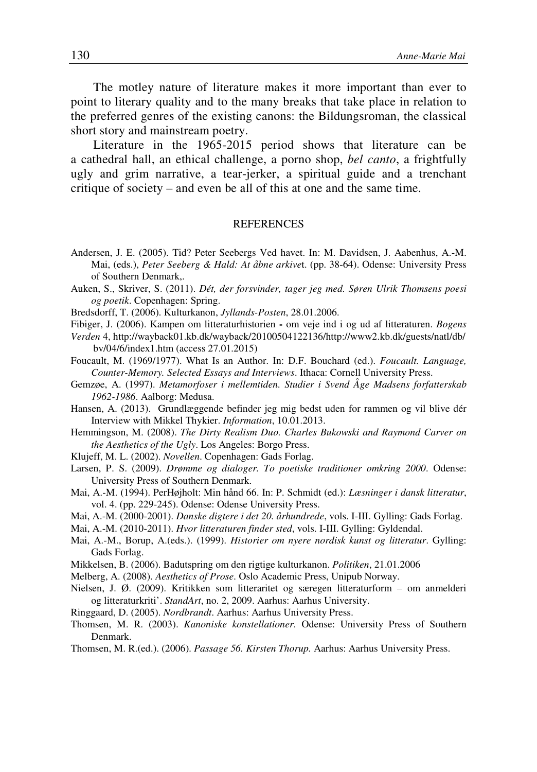The motley nature of literature makes it more important than ever to point to literary quality and to the many breaks that take place in relation to the preferred genres of the existing canons: the Bildungsroman, the classical short story and mainstream poetry.

Literature in the 1965-2015 period shows that literature can be a cathedral hall, an ethical challenge, a porno shop, *bel canto*, a frightfully ugly and grim narrative, a tear-jerker, a spiritual guide and a trenchant critique of society – and even be all of this at one and the same time.

#### REFERENCES

- Andersen, J. E. (2005). Tid? Peter Seebergs Ved havet. In: M. Davidsen, J. Aabenhus, A.-M. Mai, (eds.), *Peter Seeberg & Hald: At åbne arkive*t. (pp. 38-64). Odense: University Press of Southern Denmark,.
- Auken, S., Skriver, S. (2011). *Dét, der forsvinder, tager jeg med. Søren Ulrik Thomsens poesi og poetik*. Copenhagen: Spring.
- Bredsdorff, T. (2006). Kulturkanon, *Jyllands-Posten*, 28.01.2006.
- Fibiger, J. (2006). Kampen om litteraturhistorien om veje ind i og ud af litteraturen. *Bogens*
- *Verden* 4, http://wayback01.kb.dk/wayback/20100504122136/http://www2.kb.dk/guests/natl/db/ bv/04/6/index1.htm (access 27.01.2015)
- Foucault, M. (1969/1977). What Is an Author. In: D.F. Bouchard (ed.). *Foucault. Language, Counter-Memory. Selected Essays and Interviews*. Ithaca: Cornell University Press.
- Gemzøe, A. (1997). *Metamorfoser i mellemtiden. Studier i Svend Åge Madsens forfatterskab 1962-1986*. Aalborg: Medusa.
- Hansen, A. (2013). Grundlæggende befinder jeg mig bedst uden for rammen og vil blive dér Interview with Mikkel Thykier. *Information*, 10.01.2013.
- Hemmingson, M. (2008). *The Dirty Realism Duo. Charles Bukowski and Raymond Carver on the Aesthetics of the Ugly*. Los Angeles: Borgo Press.
- Klujeff, M. L. (2002). *Novellen*. Copenhagen: Gads Forlag.
- Larsen, P. S. (2009). *Drømme og dialoger. To poetiske traditioner omkring 2000*. Odense: University Press of Southern Denmark.
- Mai, A.-M. (1994). PerHøjholt: Min hånd 66. In: P. Schmidt (ed.): *Læsninger i dansk litteratur*, vol. 4. (pp. 229-245). Odense: Odense University Press.
- Mai, A.-M. (2000-2001). *Danske digtere i det 20. århundrede*, vols. I-III. Gylling: Gads Forlag.
- Mai, A.-M. (2010-2011). *Hvor litteraturen finder sted*, vols. I-III. Gylling: Gyldendal.
- Mai, A.-M., Borup, A.(eds.). (1999). *Historier om nyere nordisk kunst og litteratur*. Gylling: Gads Forlag.
- Mikkelsen, B. (2006). Badutspring om den rigtige kulturkanon. *Politiken*, 21.01.2006
- Melberg, A. (2008). *Aesthetics of Prose*. Oslo Academic Press, Unipub Norway.
- Nielsen, J. Ø. (2009). Kritikken som litteraritet og særegen litteraturform om anmelderi og litteraturkriti'. *StandArt*, no. 2, 2009. Aarhus: Aarhus University.
- Ringgaard, D. (2005). *Nordbrandt*. Aarhus: Aarhus University Press.
- Thomsen, M. R. (2003). *Kanoniske konstellationer*. Odense: University Press of Southern Denmark.
- Thomsen, M. R.(ed.). (2006). *Passage 56. Kirsten Thorup.* Aarhus: Aarhus University Press.